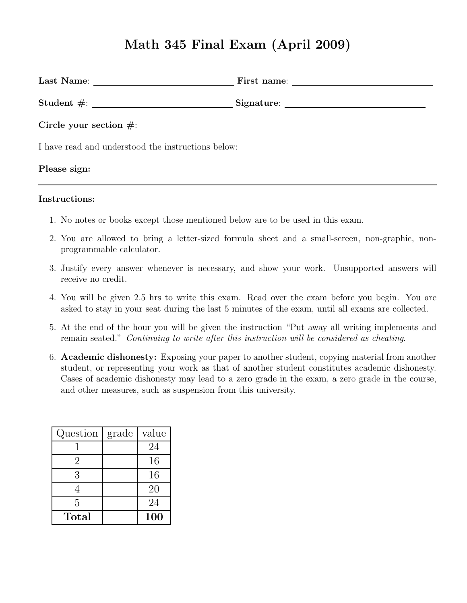# Math 345 Final Exam (April 2009)

| Circle your section $\#$ :                         |  |  |
|----------------------------------------------------|--|--|
| I have read and understood the instructions below: |  |  |
| Please sign:                                       |  |  |

#### Instructions:

- 1. No notes or books except those mentioned below are to be used in this exam.
- 2. You are allowed to bring a letter-sized formula sheet and a small-screen, non-graphic, nonprogrammable calculator.
- 3. Justify every answer whenever is necessary, and show your work. Unsupported answers will receive no credit.
- 4. You will be given 2.5 hrs to write this exam. Read over the exam before you begin. You are asked to stay in your seat during the last 5 minutes of the exam, until all exams are collected.
- 5. At the end of the hour you will be given the instruction "Put away all writing implements and remain seated." Continuing to write after this instruction will be considered as cheating.
- 6. Academic dishonesty: Exposing your paper to another student, copying material from another student, or representing your work as that of another student constitutes academic dishonesty. Cases of academic dishonesty may lead to a zero grade in the exam, a zero grade in the course, and other measures, such as suspension from this university.

| Question    | grade | value |
|-------------|-------|-------|
|             |       | 24    |
| 2           |       | 16    |
| 3           |       | 16    |
|             |       | 20    |
| 5           |       | 24    |
| $\rm Total$ |       | 100   |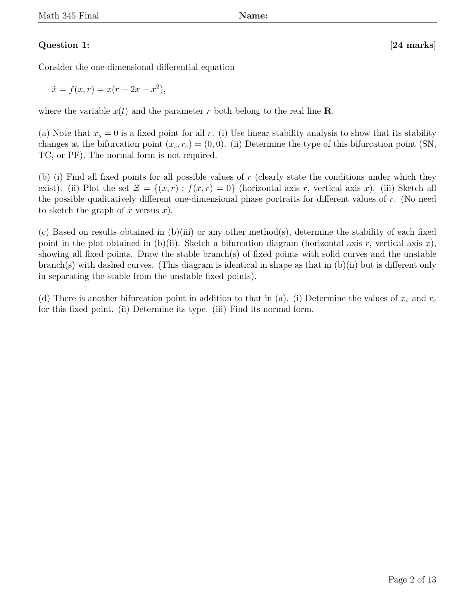# Question 1: [24 marks]

Consider the one-dimensional differential equation

 $\dot{x} = f(x, r) = x(r - 2x - x^2),$ 

where the variable  $x(t)$  and the parameter r both belong to the real line **R**.

(a) Note that  $x_s = 0$  is a fixed point for all r. (i) Use linear stability analysis to show that its stability changes at the bifurcation point  $(x_s, r_c) = (0, 0)$ . (ii) Determine the type of this bifurcation point (SN, TC, or PF). The normal form is not required.

(b) (i) Find all fixed points for all possible values of r (clearly state the conditions under which they exist). (ii) Plot the set  $\mathcal{Z} = \{(x, r) : f(x, r) = 0\}$  (horizontal axis r, vertical axis x). (iii) Sketch all the possible qualitatively different one-dimensional phase portraits for different values of r. (No need to sketch the graph of  $\dot{x}$  versus  $x$ ).

(c) Based on results obtained in  $(b)(iii)$  or any other method(s), determine the stability of each fixed point in the plot obtained in (b)(ii). Sketch a bifurcation diagram (horizontal axis r, vertical axis x), showing all fixed points. Draw the stable branch(s) of fixed points with solid curves and the unstable branch(s) with dashed curves. (This diagram is identical in shape as that in (b)(ii) but is different only in separating the stable from the unstable fixed points).

(d) There is another bifurcation point in addition to that in (a). (i) Determine the values of  $x_s$  and  $r_c$ for this fixed point. (ii) Determine its type. (iii) Find its normal form.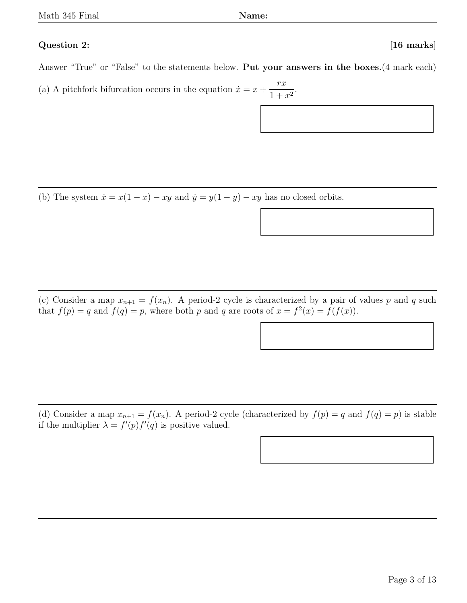### Question 2: [16 marks]

Answer "True" or "False" to the statements below. Put your answers in the boxes.(4 mark each)

(a) A pitchfork bifurcation occurs in the equation  $\dot{x} = x +$ rx  $\frac{1+x^2}{1+x^2}.$ 

(b) The system  $\dot{x} = x(1-x) - xy$  and  $\dot{y} = y(1-y) - xy$  has no closed orbits.

(c) Consider a map  $x_{n+1} = f(x_n)$ . A period-2 cycle is characterized by a pair of values p and q such that  $f(p) = q$  and  $f(q) = p$ , where both p and q are roots of  $x = f^2(x) = f(f(x))$ .

(d) Consider a map  $x_{n+1} = f(x_n)$ . A period-2 cycle (characterized by  $f(p) = q$  and  $f(q) = p$ ) is stable if the multiplier  $\lambda = f'(p)f'(q)$  is positive valued.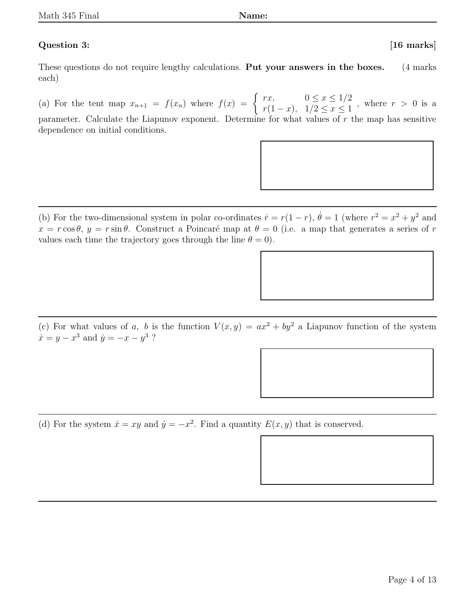# Question 3: [16 marks]

These questions do not require lengthy calculations. **Put your answers in the boxes.** (4 marks) each)

(a) For the tent map  $x_{n+1} = f(x_n)$  where  $f(x) = \begin{cases} rx, & 0 \leq x \leq 1/2 \\ x(1-x) & 1/2 \leq x \leq 1 \end{cases}$  $r(1-x), \quad 1/2 \leq x \leq 1$ , where  $r > 0$  is a parameter. Calculate the Liapunov exponent. Determine for what values of  $r$  the map has sensitive dependence on initial conditions.

(b) For the two-dimensional system in polar co-ordinates  $\dot{r} = r(1-r)$ ,  $\dot{\theta} = 1$  (where  $r^2 = x^2 + y^2$  and  $x = r \cos \theta$ ,  $y = r \sin \theta$ . Construct a Poincaré map at  $\theta = 0$  (i.e. a map that generates a series of r values each time the trajectory goes through the line  $\theta = 0$ .

(c) For what values of a, b is the function  $V(x, y) = ax^2 + by^2$  a Liapunov function of the system  $\dot{x} = y - x^3$  and  $\dot{y} = -x - y^3$  ?

(d) For the system  $\dot{x} = xy$  and  $\dot{y} = -x^2$ . Find a quantity  $E(x, y)$  that is conserved.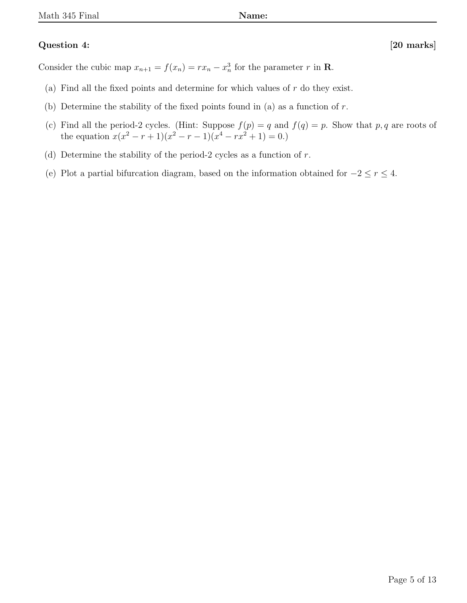# Question 4: [20 marks]

Consider the cubic map  $x_{n+1} = f(x_n) = rx_n - x_n^3$  for the parameter r in **R**.

- (a) Find all the fixed points and determine for which values of  $r$  do they exist.
- (b) Determine the stability of the fixed points found in (a) as a function of  $r$ .
- (c) Find all the period-2 cycles. (Hint: Suppose  $f(p) = q$  and  $f(q) = p$ . Show that p, q are roots of the equation  $x(x^2 - r + 1)(x^2 - r - 1)(x^4 - rx^2 + 1) = 0.$
- (d) Determine the stability of the period-2 cycles as a function of  $r$ .
- (e) Plot a partial bifurcation diagram, based on the information obtained for  $-2 \le r \le 4$ .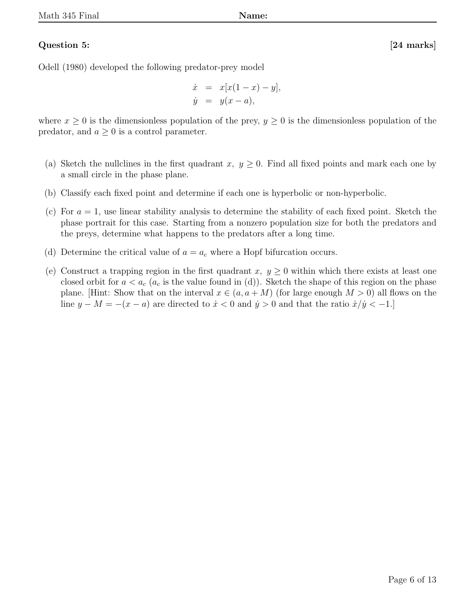# Question 5: [24 marks]

Odell (1980) developed the following predator-prey model

$$
\dot{x} = x[x(1-x) - y], \n\dot{y} = y(x - a),
$$

where  $x \geq 0$  is the dimensionless population of the prey,  $y \geq 0$  is the dimensionless population of the predator, and  $a \geq 0$  is a control parameter.

- (a) Sketch the nullclines in the first quadrant x,  $y \geq 0$ . Find all fixed points and mark each one by a small circle in the phase plane.
- (b) Classify each fixed point and determine if each one is hyperbolic or non-hyperbolic.
- (c) For  $a = 1$ , use linear stability analysis to determine the stability of each fixed point. Sketch the phase portrait for this case. Starting from a nonzero population size for both the predators and the preys, determine what happens to the predators after a long time.
- (d) Determine the critical value of  $a = a_c$  where a Hopf bifurcation occurs.
- (e) Construct a trapping region in the first quadrant x,  $y \ge 0$  within which there exists at least one closed orbit for  $a < a_c$  ( $a_c$  is the value found in (d)). Sketch the shape of this region on the phase plane. [Hint: Show that on the interval  $x \in (a, a + M)$  (for large enough  $M > 0$ ) all flows on the line  $y - M = -(x - a)$  are directed to  $\dot{x} < 0$  and  $\dot{y} > 0$  and that the ratio  $\dot{x}/\dot{y} < -1$ .]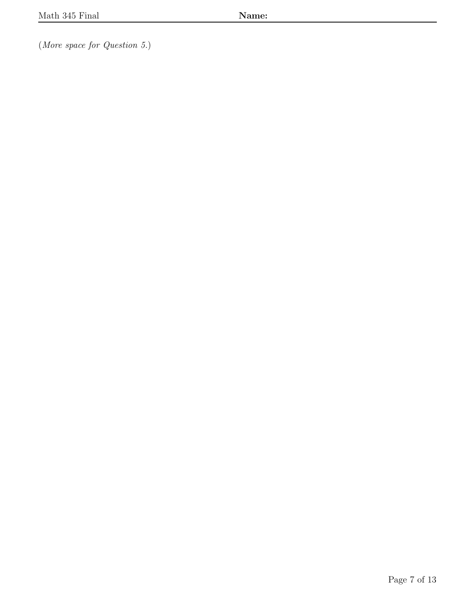(More space for Question 5.)